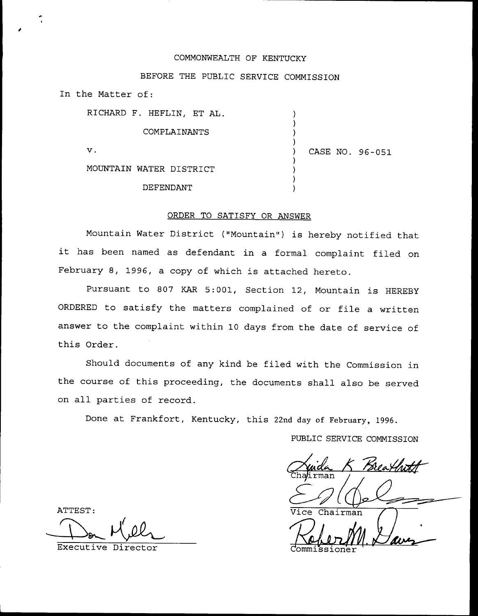#### COMMONWEALTH OF KENTUCKY

### BEFORE THE PUBLIC SERVICE COMMISSION

In the Matter of:

| RICHARD F. HEFLIN, ET AL. |                 |
|---------------------------|-----------------|
| COMPLAINANTS              |                 |
| ν.                        | CASE NO. 96-051 |
| MOUNTAIN WATER DISTRICT   |                 |
| DEFENDANT                 |                 |

### ORDER TO SATISFY OR ANSWER

Mountain Water District {"Mountain") is hereby notified that it has been named as defendant in <sup>a</sup> formal complaint filed on February 8, 1996, a copy of which is attached hereto.

Pursuant to 807 KAR 5:001, Section 12, Mountain is HEREBY ORDERED to satisfy the matters complained of or file a written answer to the complaint within 10 days from the date of service of this Order.

Should documents of any kind be filed with the Commission in the course of this proceeding, the documents shall also be served on all parties of record.

Done at Frankfort, Kentucky, this 22nd day of February, 1996.

PUBLIC SERVICE COMMISSION

irman

ATTEST:  $\overline{Vice Ch}$ 

Executive Director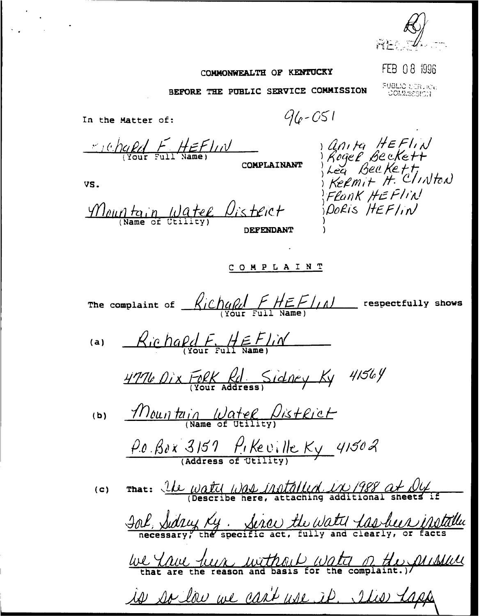

## COMMONWEALTH OF KENTUCKY

FEB 08 1996

FUBLIC USBURGE

) Anita HEFIN<br>) Rogel Beckett<br>) kea Beckett<br>) Kelmit H. Clinton

FLANK HEFlin

PORIS HEFlin

BEFORE THE PUBLIC SERVICE COMMISSION

In the Matter of:

 $96 - 051$ 

 $H$  =  $H$  =  $F$   $\mu$ 

**COMPLAINANT** 

VS.

Mountain Water District

**DEFENDANT** 

# COMPLAINT

The complaint of  $Richqkl$   $FHEFlnl$  respectfully shows  $Kichafdf_Hff_F$  $(a)$ 4776 Dix Fork Rd Sidney Ky 41564 Mountain Water District  $(b)$  $\rho_{0.}$   $\beta_{0}$  x 3151  $\rho_{1}$  Ke ville Ky 41502  $\frac{1}{\mu}$  That:  $\frac{1}{\mu}$   $\frac{1}{\mu}$   $\frac{1}{\mu}$   $\frac{1}{\mu}$   $\frac{1}{\mu}$   $\frac{1}{\mu}$   $\frac{1}{\mu}$   $\frac{1}{\mu}$   $\frac{1}{\mu}$   $\frac{1}{\mu}$   $\frac{1}{\mu}$   $\frac{1}{\mu}$   $\frac{1}{\mu}$   $\frac{1}{\mu}$   $\frac{1}{\mu}$   $\frac{1}{\mu}$   $\frac{1}{\mu}$   $\frac{1}{\mu}$   $\frac{1}{$  $(c)$ <u> Inl, Sidry Ky. Sirou the Water Las been instally</u> <u>We Youe luck without water of the prisonel</u> is so low we can't use it. It is laps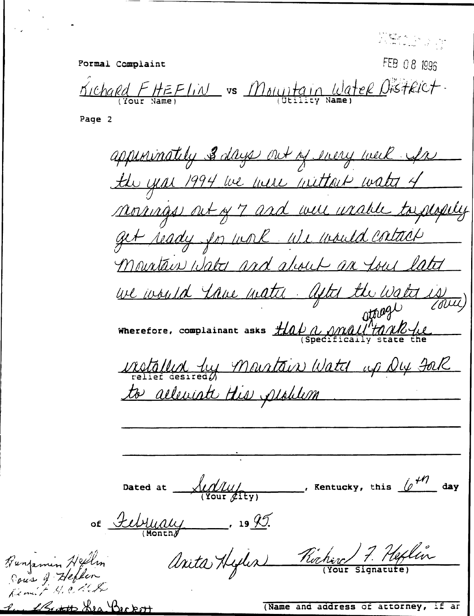| Formal Complaint | FEB 08 1996                                                 |
|------------------|-------------------------------------------------------------|
| Your Name)       | Kichard FHEFLIN vs Mountain Water District<br>Utility Name) |

Page 2

appenenately 3 days out of every week for the year 1994 we were wittond water 4 normas out of 7 and were unable to people get ready for work we would contain Mountain Water and about an love later we would true mathe. After the water is Wherefore, complainant asks  $\frac{\#f(a) \wedge \text{null} \wedge \text{null}}{\text{Specifically state the}}$ <u>vistallyd tu Mourtain Watch up Dy Jol</u> to alleviate His peoplem Dated at  $\frac{\sqrt{10}}{\sqrt{100r}}$ Rentucky, this  $\sqrt{\frac{1}{1-\epsilon}}$  day of February 19 95. Anita Hyles Richard 7. Heftin Benjamin Hellin Pour 9 Hefter

1 Rott Hea Beckott

(Name and address of attorney, if an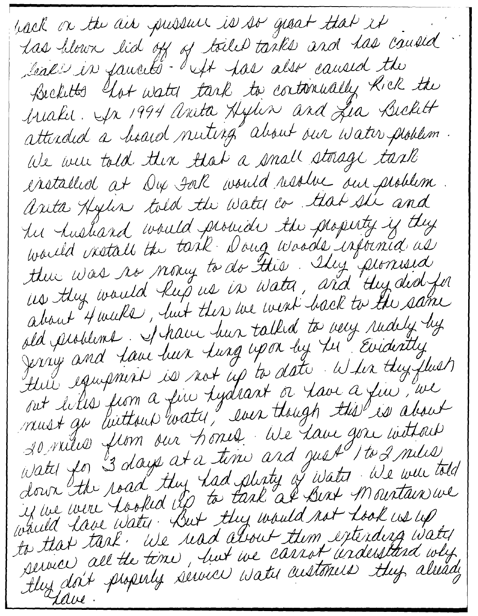hack on the air public is so great that it has blown lid off of toiled tanks and has caused leak in family. but has also caused the Becketts hot water tank to continually Kick the brialis, In 1994 anita Hydin and Lia Bickett attirded a hoard nuting" about our Water ploblem. We were told then that a small storage task installed at Dex Fak would resolve our problem arita Hylin told the Water co. that she and tu hushand would promide the property if they thue was no mony to do this. Ihy promised us they would keep us in water, and they ded for about 4 weeks, but then we went hack to the same old problems. I have but talked to very rudely by Jerry and tave heer turg upon by the Evidently thus equipment is not up to date, when they flust out lilles from a fin tydrant or tave a fin, we nust gu luittour arty," even though this is about somilier from our hones de lane gere introut Water for 3 days at a time and just 1 to 2 miles, down the road they had plenty of water We were told if we were hooked by to task at Best Mountain we would have water. But they would not hook us up to that tank, we read about them extending water service, all the time, hut we cannot understand why, thy doit phoperly service water customers they already